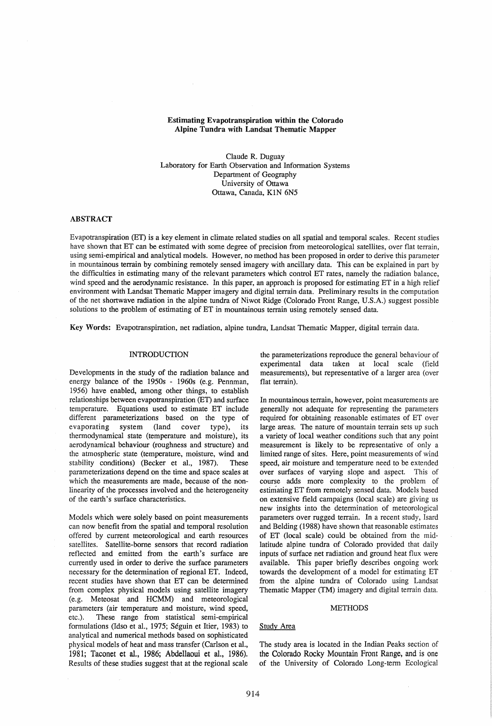### Estimating Evapotranspiration within the Colorado Alpine Tundra with Landsat Thematic Mapper

Claude R. Duguay Laboratory for Earth Observation and Information Systems Department of Geography University of Ottawa Ottawa, Canada, KIN 6N5

# ABSTRACT

Evapotranspiration (ET) is a key element in climate related studies on all spatial and temporal scales. Recent studies have shown that ET can be estimated with some degree of precision from meteorological satellites, over flat terrain, using semi-empirical and analytical models. However, no method has been proposed in order to derive this parameter in mountainous terrain by combining remotely sensed imagery with ancillary data. This can be explained in part by the difficulties in estimating many of the relevant parameters which control ET rates, namely the radiation balance, wind speed and the aerodynamic resistance. In this paper, an approach is proposed for estimating ET in a high relief environment with Landsat Thematic Mapper imagery and digital terrain data. Preliminary results in the computation of the net shortwave radiation in the alpine tundra of Niwot Ridge (Colorado Front Range, U.S.A.) suggest possible solutions to the problem of estimating of ET in mountainous terrain using remotely sensed data.

Key Words: Evapotranspiration, net radiation, alpine tundra, Landsat Thematic Mapper, digital terrain data.

# INTRODUCTION

Developments in the study of the radiation balance and energy balance of the 1950s - 1960s (e.g. Pennman, 1956) have enabled, among other things, to establish relationships between evapotranspiration (ET) and surface temperature. Equations used to estimate ET include different parameterizations based on the type of evaporating system (land cover type), its thermodynamical state (temperature and moisture), its aerodynamical behaviour (roughness and structure) and the atmospheric state (temperature, moisture, wind and stability conditions) (Becker et aI., 1987). These parameterizations depend on the time and space scales at which the measurements are made, because of the nonlinearity of the processes involved and the heterogeneity of the earth's surface characteristics.

Models which were solely based on point measurements can now benefit from the spatial and temporal resolution offered by current meteorological and earth resources satellites. Satellite-borne sensors that record radiation reflected and emitted from the earth's surface are currently used in order to derive the surface parameters necessary for the detennination of regional ET. Indeed, recent studies have shown that ET can be detennined from complex physical models using satellite imagery (e.g. Meteosat and HCMM) and meteorological parameters (air temperature and moisture, wind speed, etc.). These range from statistical semi-empirical formulations (Idso et al., 1975; Séguin et Itier, 1983) to analytical and numerical methods based on sophisticated physical models of heat and mass transfer (Carlson et aI., 1981; Taconet et al., 1986; Abdellaoui et al., 1986). Results of these studies suggest that at the regional scale

the parameterizations reproduce the general behaviour of experimental data taken at local scale (field measurements), but representative of a larger area (over flat terrain).

In mountainous terrain, however, point measurements are generally not adequate for representing the parameters required for obtaining reasonable estimates of ET over large areas. The nature of mountain terrain sets up such a variety of local weather conditions such that any point measurement is likely to be representative of only a limited range of sites. Here, point measurements of wind speed, air moisture and temperature need to be extended over surfaces of varying slope and aspect. This of course adds more complexity to the problem of estimating ET from remotely sensed data. Models based on extensive field campaigns (local scale) are giving us new insights into the detennination of meteorological parameters over rugged terrain. In a recent study, Isard and Belding (1988) have shown that reasonable estimates of ET (local scale) could be obtained from the midlatitude alpine tundra of Colorado provided that daily inputs of surface net radiation and ground heat flux were available. This paper briefly describes ongoing work towards the development of a model for estimating ET from the alpine tundra of Colorado using Landsat Thematic Mapper (TM) imagery and digital terrain data.

#### **METHODS**

### Study Area

The study area is located in the Indian Peaks section of the Colorado Rocky Mountain Front Range, and is one of the University of Colorado Long-tenn Ecological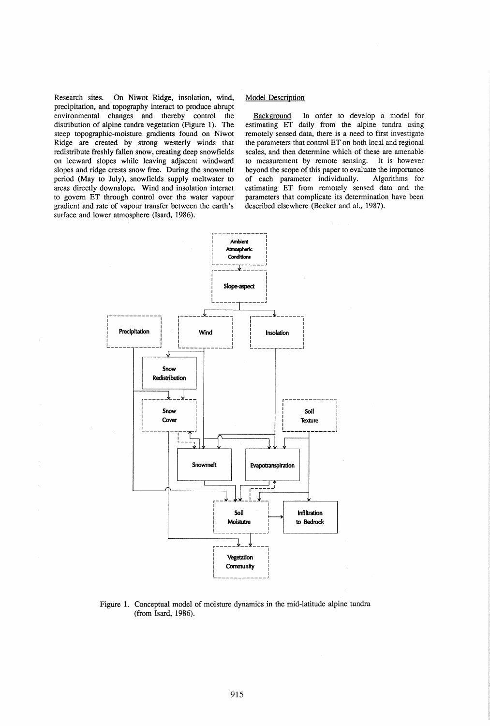On Niwot Ridge, insolation, wind, Research sites. precipitation, and topography interact to produce abrupt environmental changes and thereby control the distribution of alpine tundra vegetation (Figure 1). The steep topographic-moisture gradients found on Niwot Ridge are created by strong westerly winds that redistribute freshly fallen snow, creating deep snowfields on leeward slopes while leaving adjacent windward slopes and ridge crests snow free. During the snowmelt period (May to July), snowfields supply meltwater to areas directly downslope. Wind and insolation interact to govern ET through control over the water vapour gradient and rate of vapour transfer between the earth's surface and lower atmosphere (Isard, 1986).

# **Model Description**

Background In order to develop a model for estimating ET daily from the alpine tundra using remotely sensed data, there is a need to first investigate the parameters that control ET on both local and regional scales, and then determine which of these are amenable to measurement by remote sensing. It is however beyond the scope of this paper to evaluate the importance of each parameter individually. Algorithms for estimating ET from remotely sensed data and the parameters that complicate its determination have been described elsewhere (Becker and al., 1987).



Figure 1. Conceptual model of moisture dynamics in the mid-latitude alpine tundra (from Isard, 1986).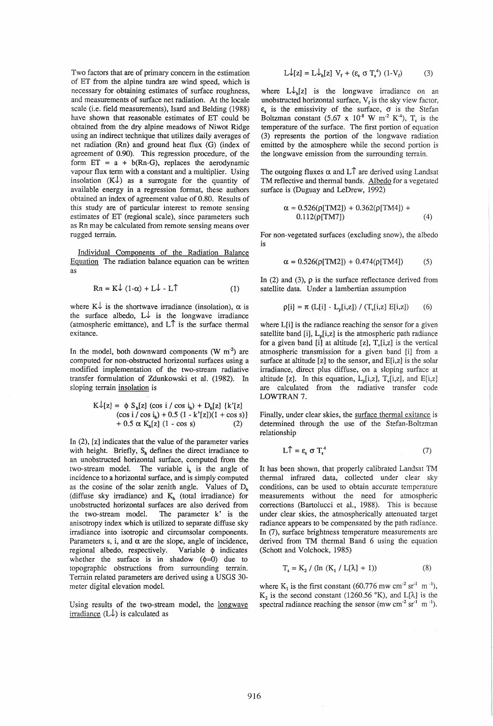Two factors that are of primary concern in the estimation of ET from the alpine tundra are wind speed, which is necessary for obtaining estimates of surface roughness, and measurements of surface net radiation. At the locale scale (i.e. field measurements), Isard and Belding (1988) have shown that reasonable estimates of ET could be obtained from the dry alpine meadows of Niwot Ridge using an indirect technique that utilizes daily averages of net radiation (Rn) and ground heat flux (G) (index of agreement of 0.90). This regression procedure, of the form  $ET = a + b(Rn-G)$ , replaces the aerodynamic vapour flux term with a constant and a multiplier. Using insolation  $(K\downarrow)$  as a surrogate for the quantity of available energy in a regression format, these authors obtained an index of agreement value of 0.80. Results of this study are of particular interest to remote sensing estimates of ET (regional scale), since parameters such as Rn may be calculated from remote sensing means over rugged terrain.

Individual Components of the Radiation Balance Equation The radiation balance equation can be written as

$$
Rn = K\downarrow (1-\alpha) + L\downarrow - L\uparrow
$$
 (1)

where  $K\downarrow$  is the shortwave irradiance (insolation),  $\alpha$  is the surface albedo,  $L \downarrow$  is the longwave irradiance (atmospheric emittance), and  $L \uparrow$  is the surface thermal exitance.

In the model, both downward components  $(W m<sup>2</sup>)$  are computed for non-obstructed horizontal surfaces using a modified implementation of the two-stream radiative transfer formulation of Zdunkowski et al. (1982). In sloping terrain insolation is

$$
K\downarrow[z] = \phi S_h[z] (cos i / cos i_h) + D_h[z] \{k'[z] (cos i / cos i_h) + 0.5 (1 - k'[z])(1 + cos s) + 0.5 \alpha K_h[z] (1 - cos s) \qquad (2)
$$

In (2), [z] indicates that the value of the parameter varies with height. Briefly,  $S_h$  defines the direct irradiance to an unobstructed horizontal surface, computed from the two-stream model. The variable  $i_h$  is the angle of incidence to a horizontal surface, and is simply computed as the cosine of the solar zenith angle. Values of  $D_h$ (diffuse sky irradiance) and  $K_h$  (total irradiance) for unobstructed horizontal surfaces are also derived from the two-stream model. The parameter k' is the anisotropy index which is utilized to separate diffuse sky irradiance into isotropic and circum solar components. Parameters s, i, and  $\alpha$  are the slope, angle of incidence, regional albedo, respectively. Variable  $\phi$  indicates whether the surface is in shadow  $(\phi=0)$  due to topographic obstructions from surrounding terrain. Terrain related parameters are derived using a USGS 30 meter digital elevation model.

Using results of the two-stream model, the longwave irradiance  $(L\downarrow)$  is calculated as

$$
L\downarrow[z] = L\downarrow_{h}[z] V_{f} + (\varepsilon_{s} \sigma T_{s}^{4}) (1-V_{f})
$$
 (3)

where  $L \downarrow_b [z]$  is the longwave irradiance on an unobstructed horizontal surface,  $V_f$  is the sky view factor,  $\varepsilon$ <sub>s</sub> is the emissivity of the surface,  $\sigma$  is the Stefan Boltzman constant  $(5.67 \times 10^{-8} \text{ W m}^{-2} \text{ K}^{-4})$ , T<sub>s</sub> is the temperature of the surface. The first portion of equation (3) represents the portion of the 10ngwave radiation emitted by the atmosphere while the second portion is the longwave emission from the surrounding terrain.

The outgoing fluxes  $\alpha$  and L<sup> $\uparrow$ </sup> are derived using Landsat TM reflective and thermal bands. Albedo for a vegetated surface is (Duguay and LeDrew, 1992)

$$
\alpha = 0.526(\rho[TM2]) + 0.362(\rho[TM4]) + 0.112(\rho[TM7]) \tag{4}
$$

For non-vegetated surfaces (excluding snow), the albedo is

$$
\alpha = 0.526(\rho[TM2]) + 0.474(\rho[TM4])
$$
 (5)

In (2) and (3),  $\rho$  is the surface reflectance derived from satellite data. Under a lambertian assumption

$$
\rho[i] = \pi (L[i] - L_p[i, z]) / (T_v[i, z] E[i, z]) \qquad (6)
$$

where L[i] is the radiance reaching the sensor for a given satellite band [i],  $L_n[i,z]$  is the atmospheric path radiance for a given band  $[i]$  at altitude  $[z]$ ,  $T_v[i,z]$  is the vertical atmospheric transmission for a given band [i] from a surface at altitude [z] to the sensor, and E[i,z] is the solar irradiance, direct plus diffuse, on a sloping surface at altitude [z]. In this equation,  $L_p[i,z]$ ,  $T_v[i,z]$ , and  $E[i,z]$ are calculated from the radiative transfer code LOWTRAN 7.

Finally, under clear skies, the surface thermal exitance is determined through the use of the Stefan-Boltzman relationship

$$
L\hat{\mathsf{T}} = \varepsilon_{\rm s} \sigma \, \mathsf{T}_{\rm s}^4 \tag{7}
$$

It has been shown, that properly calibrated Landsat TM thermal infrared data, collected under clear sky conditions, can be used to obtain accurate temperature measurements without the need for atmospheric corrections (Bartolucci et aI., 1988). This is because under clear skies, the atmospherically attenuated target radiance appears to be compensated by the path radiance. In (7), surface brightness temperature measurements are derived from TM thermal Band 6 using the equation (Schott and Volchock, 1985)

$$
T_s = K_2 / (ln (K_1 / L[\lambda] + 1))
$$
 (8)

where  $K_1$  is the first constant (60.776 mw cm<sup>-2</sup> sr<sup>-1</sup> m<sup>-1</sup>),  $K_2$  is the second constant (1260.56 °K), and L[ $\lambda$ ] is the spectral radiance reaching the sensor (mw cm<sup>-2</sup> sr<sup>-1</sup> m<sup>-1</sup>).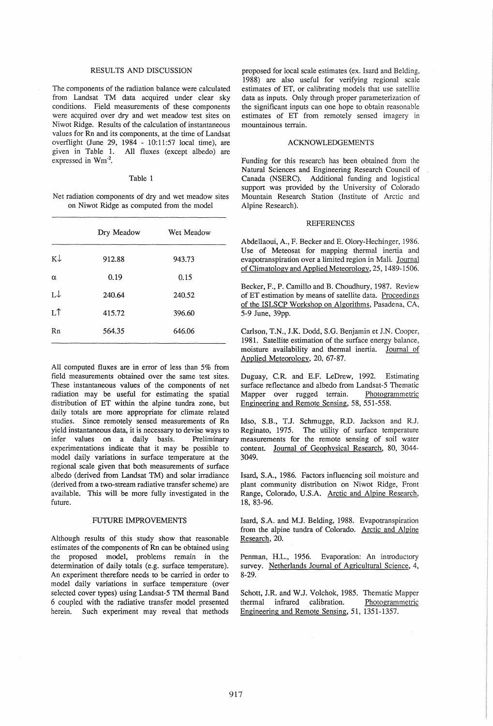# RESULTS AND DISCUSSION

The components of the radiation balance were calculated from Landsat TM data acquired under clear sky conditions. Field measurements of these components were acquired over dry and wet meadow test sites on Niwot Ridge. Results of the calculation of instantaneous values for Rn and its components, at the time of Landsat overflight (June 29, 1984 - 10:11:57 local time), are given in Table 1. All fluxes (except albedo) are All fluxes (except albedo) are expressed in Wm<sup>-2</sup>.

### Table 1

Net radiation components of dry and wet meadow sites on Niwot Ridge as computed from the model

|               | Dry Meadow | Wet Meadow |
|---------------|------------|------------|
| $K\downarrow$ | 912.88     | 943.73     |
| α             | 0.19       | 0.15       |
| L↓            | 240.64     | 240.52     |
| LÎ            | 415.72     | 396.60     |
| Rn            | 564.35     | 646.06     |

All computed fluxes are in error of less than 5% from field measurements obtained over the same test sites. These instantaneous values of the components of net radiation may be useful for estimating the spatial distribution of ET within the alpine tundra zone, but daily totals are more appropriate for climate related studies. Since remotely sensed measurements of Rn yield instantaneous data, it is necessary to devise ways to infer values on a daily basis. Preliminary experimentations indicate that it may be possible to model daily variations in surface temperature at the regional scale given that both measurements of surface albedo (derived from Landsat TM) and solar irradiance (derived from a two-stream radiative transfer scheme) are available. This will be more fully investigated in the future.

### FUTURE IMPROVEMENTS

Although results of this study show that reasonable estimates of the components of Rn can be obtained using the proposed model, problems remain in the determination of daily totals (e.g. surface temperature). An experiment therefore needs to be carried in order to model daily variations in surface temperature (over selected cover types) using Landsat-5 TM thermal Band 6 coupled with the radiative transfer model presented herein. Such experiment may reveal that methods

proposed for local scale estimates (ex. Isard and Belding, 1988) are also useful for verifying regional scale estimates of ET, or calibrating models that use satellite data as inputs. Only through proper parameterization of the significant inputs can one hope to obtain reasonable estimates of ET from remotely sensed imagery in mountainous terrain.

### ACKNOWLEDGEMENTS

Funding for this research has been obtained from the Natural Sciences and Engineering Research Council of Canada (NSERC). Additional funding and logistical support was provided by the University of Colorado Mountain Research Station (Institute of Arctic and Alpine Research).

#### REFERENCES

Abdellaoui, A., F. Becker and E. Olory-Hechinger, 1986. Use of Meteosat for mapping thermal inertia and evapotranspiration over a limited region in Mali. Journal of Climatology and Applied Meteorology, 25, 1489-1506.

Becker, F., P. Camillo and B. Choudhury, 1987. Review of ET estimation by means of satellite data. Proceedings of the ISLSCP Workshop on Algorithms, Pasadena, CA, 5-9 June, 39pp.

Carlson, T.N., J.K. Dodd, S.G. Benjamin et J.N. Cooper, 1981. Satellite estimation of the surface energy balance, moisture availability and thermal inertia. Journal of Applied Meteorology, 20, 67-87.

Duguay, C.R and E.F. LeDrew, 1992. Estimating surface reflectance and albedo from Landsat-5 Thematic Mapper over rugged terrain. Photogrammetric Engineering and Remote Sensing, 58, 551-558.

Idso, S.B., T.J. Schmugge, RD. Jackson and RJ. Reginato, 1975. The utility of surface temperature measurements for the remote sensing of soil water content. Journal of Geophysical Research, 80, 3044- 3049.

Isard, S.A., 1986. Factors influencing soil moisture and plant community distribution on Niwot Ridge, Front Range, Colorado, U.S.A. Arctic and Alpine Research, 18, 83-96.

Isard, S.A. and M.l. Belding, 1988. Evapotranspiration from the alpine tundra of Colorado. Arctic and Alpine Research, 20.

Penman, H.L., 1956. Evaporation: An introductory survey. Netherlands Journal of Agricultural Science, 4, 8-29.

Schott, J.R and W.J. Volchok, 1985. Thematic Mapper thermal infrared calibration. Photogrammetric Engineering and Remote Sensing, 51, 1351-1357.